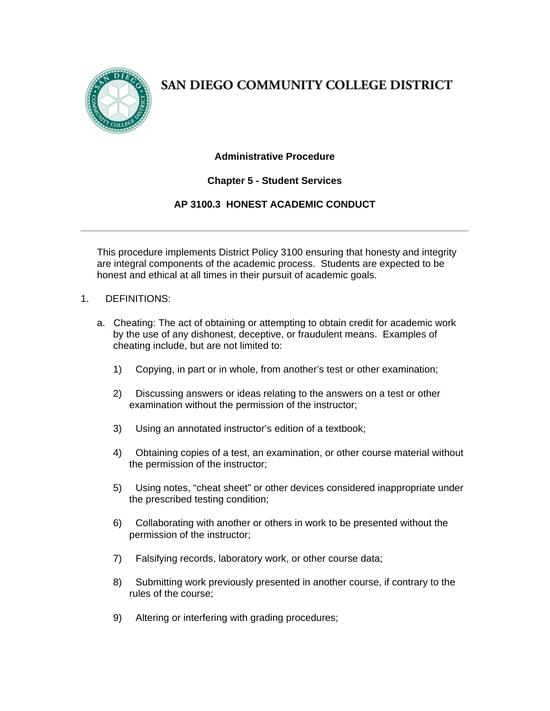

SAN DIEGO COMMUNITY COLLEGE DISTRICT

# **Administrative Procedure**

# **Chapter 5 - Student Services**

# **AP 3100.3 HONEST ACADEMIC CONDUCT**

This procedure implements District Policy 3100 ensuring that honesty and integrity are integral components of the academic process. Students are expected to be honest and ethical at all times in their pursuit of academic goals.

#### 1. DEFINITIONS:

- a. Cheating: The act of obtaining or attempting to obtain credit for academic work by the use of any dishonest, deceptive, or fraudulent means. Examples of cheating include, but are not limited to:
	- 1) Copying, in part or in whole, from another's test or other examination;
	- 2) Discussing answers or ideas relating to the answers on a test or other examination without the permission of the instructor;
	- 3) Using an annotated instructor's edition of a textbook;
	- 4) Obtaining copies of a test, an examination, or other course material without the permission of the instructor;
	- 5) Using notes, "cheat sheet" or other devices considered inappropriate under the prescribed testing condition;
	- 6) Collaborating with another or others in work to be presented without the permission of the instructor;
	- 7) Falsifying records, laboratory work, or other course data;
	- 8) Submitting work previously presented in another course, if contrary to the rules of the course;
	- 9) Altering or interfering with grading procedures;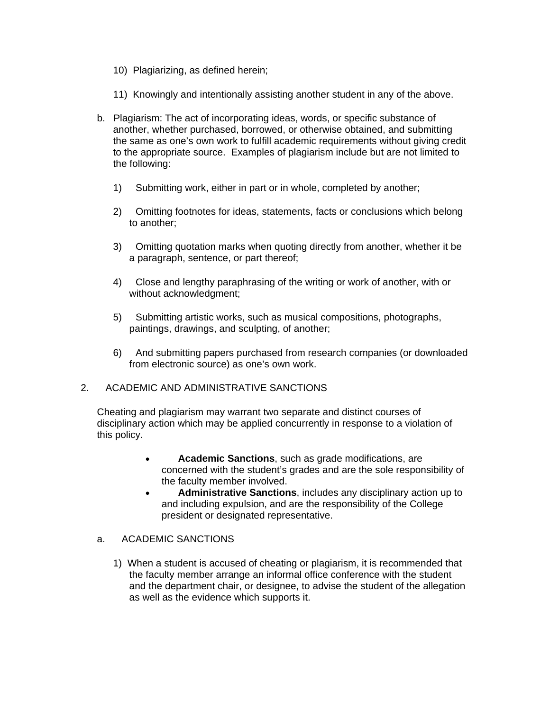- 10) Plagiarizing, as defined herein;
- 11) Knowingly and intentionally assisting another student in any of the above.
- b. Plagiarism: The act of incorporating ideas, words, or specific substance of another, whether purchased, borrowed, or otherwise obtained, and submitting the same as one's own work to fulfill academic requirements without giving credit to the appropriate source. Examples of plagiarism include but are not limited to the following:
	- 1) Submitting work, either in part or in whole, completed by another;
	- 2) Omitting footnotes for ideas, statements, facts or conclusions which belong to another;
	- 3) Omitting quotation marks when quoting directly from another, whether it be a paragraph, sentence, or part thereof;
	- 4) Close and lengthy paraphrasing of the writing or work of another, with or without acknowledgment;
	- 5) Submitting artistic works, such as musical compositions, photographs, paintings, drawings, and sculpting, of another;
	- 6) And submitting papers purchased from research companies (or downloaded from electronic source) as one's own work.

#### 2. ACADEMIC AND ADMINISTRATIVE SANCTIONS

Cheating and plagiarism may warrant two separate and distinct courses of disciplinary action which may be applied concurrently in response to a violation of this policy.

- **Academic Sanctions**, such as grade modifications, are concerned with the student's grades and are the sole responsibility of the faculty member involved.
- **Administrative Sanctions**, includes any disciplinary action up to and including expulsion, and are the responsibility of the College president or designated representative.

#### a. ACADEMIC SANCTIONS

1) When a student is accused of cheating or plagiarism, it is recommended that the faculty member arrange an informal office conference with the student and the department chair, or designee, to advise the student of the allegation as well as the evidence which supports it.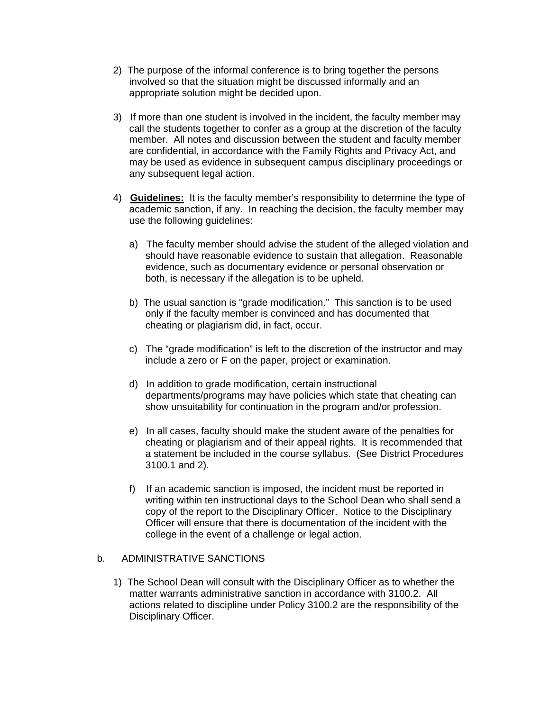- 2) The purpose of the informal conference is to bring together the persons involved so that the situation might be discussed informally and an appropriate solution might be decided upon.
- 3) If more than one student is involved in the incident, the faculty member may call the students together to confer as a group at the discretion of the faculty member. All notes and discussion between the student and faculty member are confidential, in accordance with the Family Rights and Privacy Act, and may be used as evidence in subsequent campus disciplinary proceedings or any subsequent legal action.
- 4) **Guidelines:** It is the faculty member's responsibility to determine the type of academic sanction, if any. In reaching the decision, the faculty member may use the following guidelines:
	- a) The faculty member should advise the student of the alleged violation and should have reasonable evidence to sustain that allegation. Reasonable evidence, such as documentary evidence or personal observation or both, is necessary if the allegation is to be upheld.
	- b) The usual sanction is "grade modification." This sanction is to be used only if the faculty member is convinced and has documented that cheating or plagiarism did, in fact, occur.
	- c) The "grade modification" is left to the discretion of the instructor and may include a zero or F on the paper, project or examination.
	- d) In addition to grade modification, certain instructional departments/programs may have policies which state that cheating can show unsuitability for continuation in the program and/or profession.
	- e) In all cases, faculty should make the student aware of the penalties for cheating or plagiarism and of their appeal rights. It is recommended that a statement be included in the course syllabus. (See District Procedures 3100.1 and 2).
	- f) If an academic sanction is imposed, the incident must be reported in writing within ten instructional days to the School Dean who shall send a copy of the report to the Disciplinary Officer. Notice to the Disciplinary Officer will ensure that there is documentation of the incident with the college in the event of a challenge or legal action.

### b. ADMINISTRATIVE SANCTIONS

1) The School Dean will consult with the Disciplinary Officer as to whether the matter warrants administrative sanction in accordance with 3100.2. All actions related to discipline under Policy 3100.2 are the responsibility of the Disciplinary Officer.